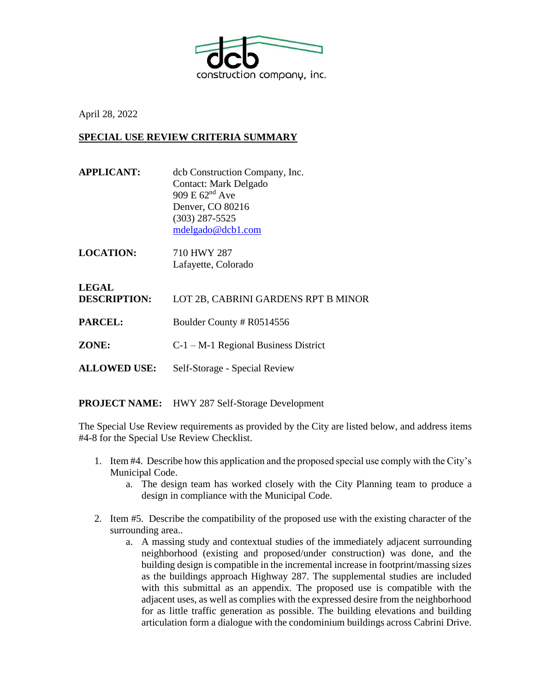

April 28, 2022

## **SPECIAL USE REVIEW CRITERIA SUMMARY**

- **APPLICANT:** dcb Construction Company, Inc. Contact: Mark Delgado 909 E 62nd Ave Denver, CO 80216 (303) 287-5525 [mdelgado@dcb1.com](mailto:mdelgado@dcb1.com)
- **LOCATION:** 710 HWY 287 Lafayette, Colorado

**LEGAL DESCRIPTION:** LOT 2B, CABRINI GARDENS RPT B MINOR **PARCEL:** Boulder County # R0514556 **ZONE:** C-1 – M-1 Regional Business District

**ALLOWED USE:** Self-Storage - Special Review

**PROJECT NAME:** HWY 287 Self-Storage Development

The Special Use Review requirements as provided by the City are listed below, and address items #4-8 for the Special Use Review Checklist.

- 1. Item #4. Describe how this application and the proposed special use comply with the City's Municipal Code.
	- a. The design team has worked closely with the City Planning team to produce a design in compliance with the Municipal Code.
- 2. Item #5. Describe the compatibility of the proposed use with the existing character of the surrounding area..
	- a. A massing study and contextual studies of the immediately adjacent surrounding neighborhood (existing and proposed/under construction) was done, and the building design is compatible in the incremental increase in footprint/massing sizes as the buildings approach Highway 287. The supplemental studies are included with this submittal as an appendix. The proposed use is compatible with the adjacent uses, as well as complies with the expressed desire from the neighborhood for as little traffic generation as possible. The building elevations and building articulation form a dialogue with the condominium buildings across Cabrini Drive.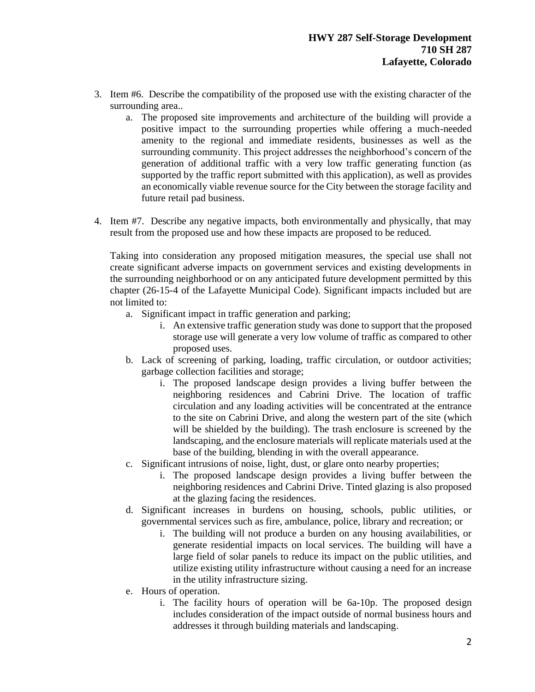- 3. Item #6. Describe the compatibility of the proposed use with the existing character of the surrounding area..
	- a. The proposed site improvements and architecture of the building will provide a positive impact to the surrounding properties while offering a much-needed amenity to the regional and immediate residents, businesses as well as the surrounding community. This project addresses the neighborhood's concern of the generation of additional traffic with a very low traffic generating function (as supported by the traffic report submitted with this application), as well as provides an economically viable revenue source for the City between the storage facility and future retail pad business.
- 4. Item #7. Describe any negative impacts, both environmentally and physically, that may result from the proposed use and how these impacts are proposed to be reduced.

Taking into consideration any proposed mitigation measures, the special use shall not create significant adverse impacts on government services and existing developments in the surrounding neighborhood or on any anticipated future development permitted by this chapter (26-15-4 of the Lafayette Municipal Code). Significant impacts included but are not limited to:

- a. Significant impact in traffic generation and parking;
	- i. An extensive traffic generation study was done to support that the proposed storage use will generate a very low volume of traffic as compared to other proposed uses.
- b. Lack of screening of parking, loading, traffic circulation, or outdoor activities; garbage collection facilities and storage;
	- i. The proposed landscape design provides a living buffer between the neighboring residences and Cabrini Drive. The location of traffic circulation and any loading activities will be concentrated at the entrance to the site on Cabrini Drive, and along the western part of the site (which will be shielded by the building). The trash enclosure is screened by the landscaping, and the enclosure materials will replicate materials used at the base of the building, blending in with the overall appearance.
- c. Significant intrusions of noise, light, dust, or glare onto nearby properties;
	- i. The proposed landscape design provides a living buffer between the neighboring residences and Cabrini Drive. Tinted glazing is also proposed at the glazing facing the residences.
- d. Significant increases in burdens on housing, schools, public utilities, or governmental services such as fire, ambulance, police, library and recreation; or
	- i. The building will not produce a burden on any housing availabilities, or generate residential impacts on local services. The building will have a large field of solar panels to reduce its impact on the public utilities, and utilize existing utility infrastructure without causing a need for an increase in the utility infrastructure sizing.
- e. Hours of operation.
	- i. The facility hours of operation will be 6a-10p. The proposed design includes consideration of the impact outside of normal business hours and addresses it through building materials and landscaping.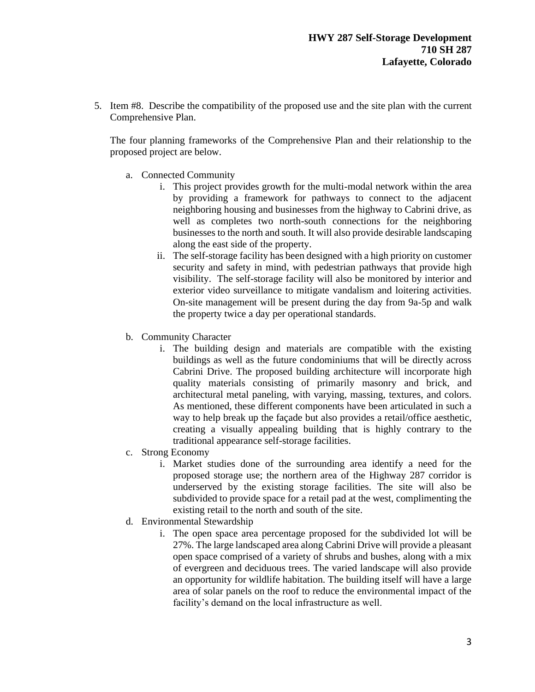5. Item #8. Describe the compatibility of the proposed use and the site plan with the current Comprehensive Plan.

The four planning frameworks of the Comprehensive Plan and their relationship to the proposed project are below.

- a. Connected Community
	- i. This project provides growth for the multi-modal network within the area by providing a framework for pathways to connect to the adjacent neighboring housing and businesses from the highway to Cabrini drive, as well as completes two north-south connections for the neighboring businesses to the north and south. It will also provide desirable landscaping along the east side of the property.
	- ii. The self-storage facility has been designed with a high priority on customer security and safety in mind, with pedestrian pathways that provide high visibility. The self-storage facility will also be monitored by interior and exterior video surveillance to mitigate vandalism and loitering activities. On-site management will be present during the day from 9a-5p and walk the property twice a day per operational standards.
- b. Community Character
	- i. The building design and materials are compatible with the existing buildings as well as the future condominiums that will be directly across Cabrini Drive. The proposed building architecture will incorporate high quality materials consisting of primarily masonry and brick, and architectural metal paneling, with varying, massing, textures, and colors. As mentioned, these different components have been articulated in such a way to help break up the façade but also provides a retail/office aesthetic, creating a visually appealing building that is highly contrary to the traditional appearance self-storage facilities.
- c. Strong Economy
	- i. Market studies done of the surrounding area identify a need for the proposed storage use; the northern area of the Highway 287 corridor is underserved by the existing storage facilities. The site will also be subdivided to provide space for a retail pad at the west, complimenting the existing retail to the north and south of the site.
- d. Environmental Stewardship
	- i. The open space area percentage proposed for the subdivided lot will be 27%. The large landscaped area along Cabrini Drive will provide a pleasant open space comprised of a variety of shrubs and bushes, along with a mix of evergreen and deciduous trees. The varied landscape will also provide an opportunity for wildlife habitation. The building itself will have a large area of solar panels on the roof to reduce the environmental impact of the facility's demand on the local infrastructure as well.